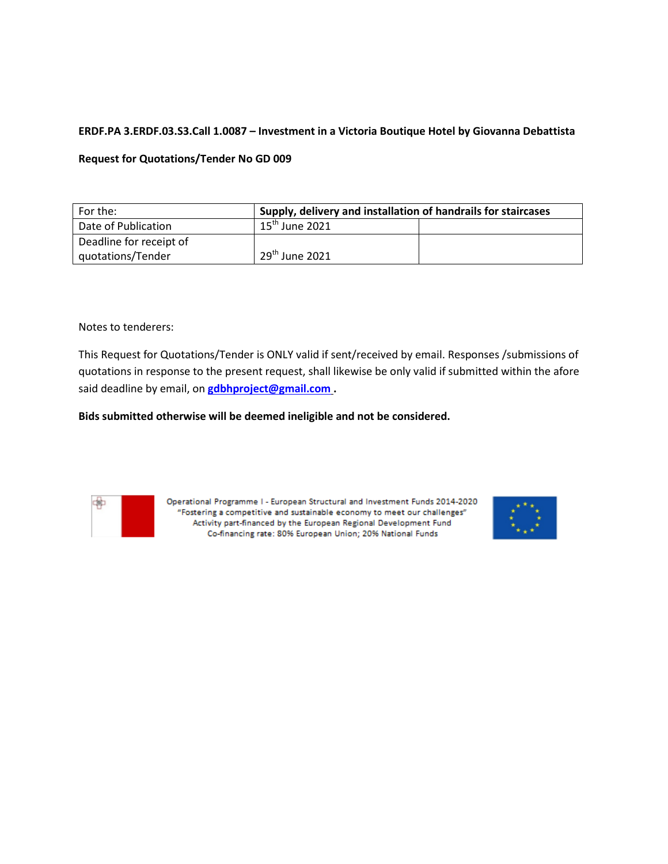# **ERDF.PA 3.ERDF.03.S3.Call 1.0087 – Investment in a Victoria Boutique Hotel by Giovanna Debattista**

### **Request for Quotations/Tender No GD 009**

| For the:                | Supply, delivery and installation of handrails for staircases |  |  |
|-------------------------|---------------------------------------------------------------|--|--|
| Date of Publication     | $15^{\text{th}}$ June 2021                                    |  |  |
| Deadline for receipt of |                                                               |  |  |
| quotations/Tender       | $29th$ June 2021                                              |  |  |

Notes to tenderers:

This Request for Quotations/Tender is ONLY valid if sent/received by email. Responses /submissions of quotations in response to the present request, shall likewise be only valid if submitted within the afore said deadline by email, on **[gdbhproject@gmail.com](mailto:gdbhproject@gmail.com) .** 

### **Bids submitted otherwise will be deemed ineligible and not be considered.**



Operational Programme I - European Structural and Investment Funds 2014-2020 "Fostering a competitive and sustainable economy to meet our challenges" Activity part-financed by the European Regional Development Fund Co-financing rate: 80% European Union; 20% National Funds

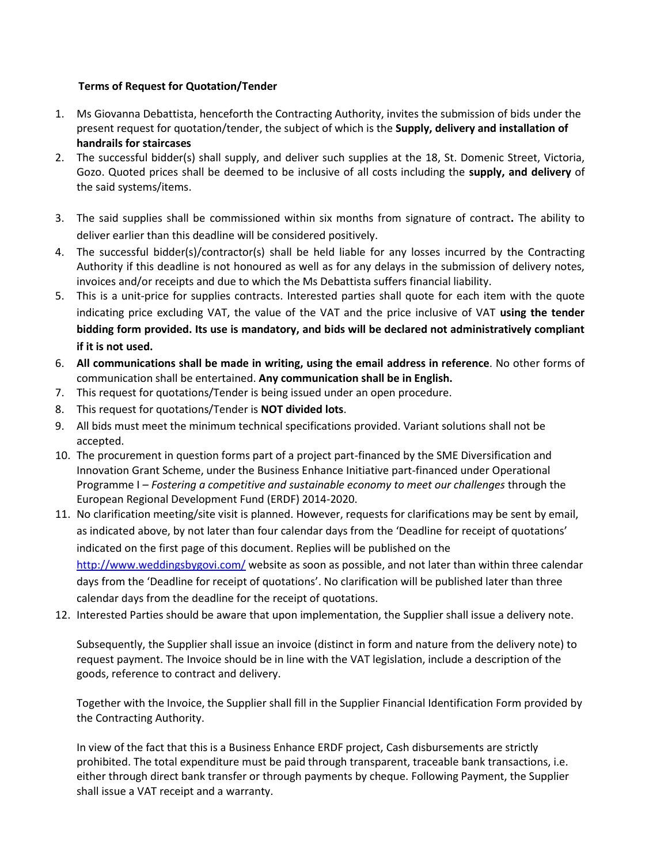# **Terms of Request for Quotation/Tender**

- 1. Ms Giovanna Debattista, henceforth the Contracting Authority, invites the submission of bids under the present request for quotation/tender, the subject of which is the **Supply, delivery and installation of handrails for staircases**
- 2. The successful bidder(s) shall supply, and deliver such supplies at the 18, St. Domenic Street, Victoria, Gozo. Quoted prices shall be deemed to be inclusive of all costs including the **supply, and delivery** of the said systems/items.
- 3. The said supplies shall be commissioned within six months from signature of contract**.** The ability to deliver earlier than this deadline will be considered positively.
- 4. The successful bidder(s)/contractor(s) shall be held liable for any losses incurred by the Contracting Authority if this deadline is not honoured as well as for any delays in the submission of delivery notes, invoices and/or receipts and due to which the Ms Debattista suffers financial liability.
- 5. This is a unit-price for supplies contracts. Interested parties shall quote for each item with the quote indicating price excluding VAT, the value of the VAT and the price inclusive of VAT **using the tender bidding form provided. Its use is mandatory, and bids will be declared not administratively compliant if it is not used.**
- 6. **All communications shall be made in writing, using the email address in reference**. No other forms of communication shall be entertained. **Any communication shall be in English.**
- 7. This request for quotations/Tender is being issued under an open procedure.
- 8. This request for quotations/Tender is **NOT divided lots**.
- 9. All bids must meet the minimum technical specifications provided. Variant solutions shall not be accepted.
- 10. The procurement in question forms part of a project part-financed by the SME Diversification and Innovation Grant Scheme, under the Business Enhance Initiative part-financed under Operational Programme I – *Fostering a competitive and sustainable economy to meet our challenges* through the European Regional Development Fund (ERDF) 2014-2020.
- 11. No clarification meeting/site visit is planned. However, requests for clarifications may be sent by email, as indicated above, by not later than four calendar days from the 'Deadline for receipt of quotations' indicated on the first page of this document. Replies will be published on the

<http://www.weddingsbygovi.com/> website as soon as possible, and not later than within three calendar days from the 'Deadline for receipt of quotations'. No clarification will be published later than three calendar days from the deadline for the receipt of quotations.

12. Interested Parties should be aware that upon implementation, the Supplier shall issue a delivery note.

Subsequently, the Supplier shall issue an invoice (distinct in form and nature from the delivery note) to request payment. The Invoice should be in line with the VAT legislation, include a description of the goods, reference to contract and delivery.

Together with the Invoice, the Supplier shall fill in the Supplier Financial Identification Form provided by the Contracting Authority.

In view of the fact that this is a Business Enhance ERDF project, Cash disbursements are strictly prohibited. The total expenditure must be paid through transparent, traceable bank transactions, i.e. either through direct bank transfer or through payments by cheque. Following Payment, the Supplier shall issue a VAT receipt and a warranty.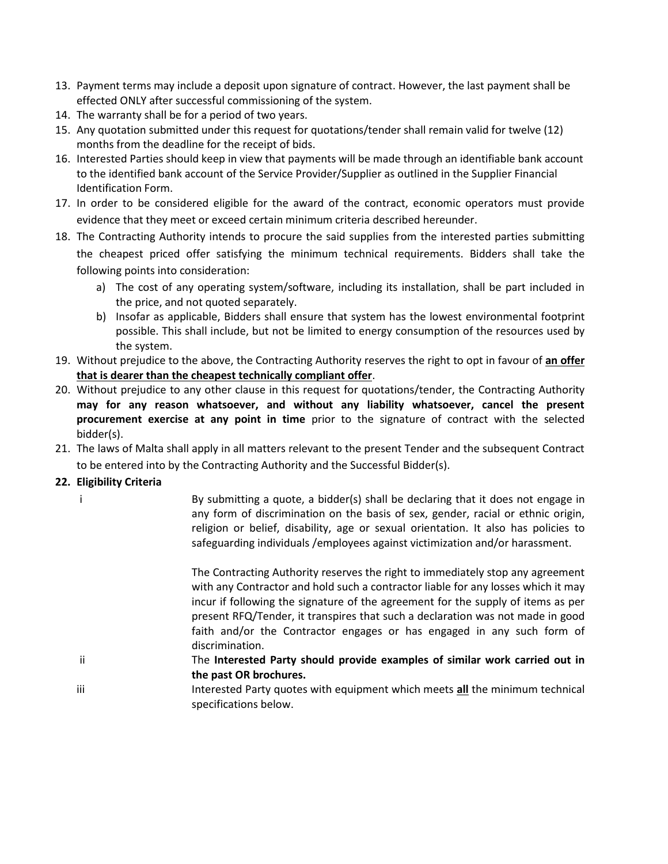- 13. Payment terms may include a deposit upon signature of contract. However, the last payment shall be effected ONLY after successful commissioning of the system.
- 14. The warranty shall be for a period of two years.
- 15. Any quotation submitted under this request for quotations/tender shall remain valid for twelve (12) months from the deadline for the receipt of bids.
- 16. Interested Parties should keep in view that payments will be made through an identifiable bank account to the identified bank account of the Service Provider/Supplier as outlined in the Supplier Financial Identification Form.
- 17. In order to be considered eligible for the award of the contract, economic operators must provide evidence that they meet or exceed certain minimum criteria described hereunder.
- 18. The Contracting Authority intends to procure the said supplies from the interested parties submitting the cheapest priced offer satisfying the minimum technical requirements. Bidders shall take the following points into consideration:
	- a) The cost of any operating system/software, including its installation, shall be part included in the price, and not quoted separately.
	- b) Insofar as applicable, Bidders shall ensure that system has the lowest environmental footprint possible. This shall include, but not be limited to energy consumption of the resources used by the system.
- 19. Without prejudice to the above, the Contracting Authority reserves the right to opt in favour of **an offer that is dearer than the cheapest technically compliant offer**.
- 20. Without prejudice to any other clause in this request for quotations/tender, the Contracting Authority **may for any reason whatsoever, and without any liability whatsoever, cancel the present procurement exercise at any point in time** prior to the signature of contract with the selected bidder(s).
- 21. The laws of Malta shall apply in all matters relevant to the present Tender and the subsequent Contract to be entered into by the Contracting Authority and the Successful Bidder(s).

# **22. Eligibility Criteria**

|     |    | By submitting a quote, a bidder(s) shall be declaring that it does not engage in<br>any form of discrimination on the basis of sex, gender, racial or ethnic origin,<br>religion or belief, disability, age or sexual orientation. It also has policies to<br>safeguarding individuals /employees against victimization and/or harassment.                                                                                             |
|-----|----|----------------------------------------------------------------------------------------------------------------------------------------------------------------------------------------------------------------------------------------------------------------------------------------------------------------------------------------------------------------------------------------------------------------------------------------|
|     |    | The Contracting Authority reserves the right to immediately stop any agreement<br>with any Contractor and hold such a contractor liable for any losses which it may<br>incur if following the signature of the agreement for the supply of items as per<br>present RFQ/Tender, it transpires that such a declaration was not made in good<br>faith and/or the Contractor engages or has engaged in any such form of<br>discrimination. |
|     | ii | The Interested Party should provide examples of similar work carried out in<br>the past OR brochures.                                                                                                                                                                                                                                                                                                                                  |
| iii |    | Interested Party quotes with equipment which meets all the minimum technical<br>specifications below.                                                                                                                                                                                                                                                                                                                                  |
|     |    |                                                                                                                                                                                                                                                                                                                                                                                                                                        |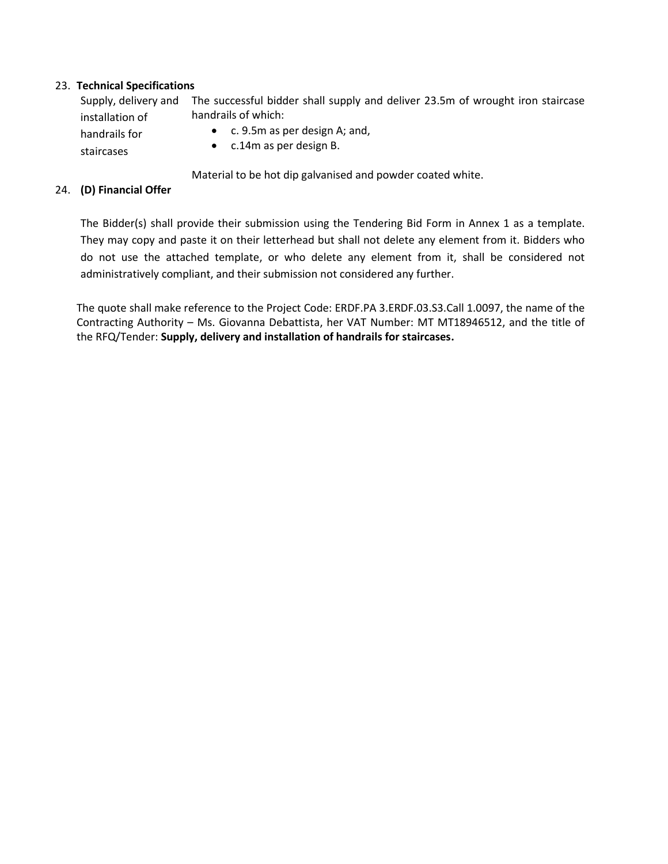### 23. **Technical Specifications**

| Supply, delivery and | The successful bidder shall supply and deliver 23.5m of wrought iron staircase |  |  |
|----------------------|--------------------------------------------------------------------------------|--|--|
| installation of      | handrails of which:                                                            |  |  |
| handrails for        | • $\epsilon$ . 9.5m as per design A; and,                                      |  |  |
| staircases           | $\bullet$ c.14m as per design B.                                               |  |  |

Material to be hot dip galvanised and powder coated white.

### 24. **(D) Financial Offer**

The Bidder(s) shall provide their submission using the Tendering Bid Form in Annex 1 as a template. They may copy and paste it on their letterhead but shall not delete any element from it. Bidders who do not use the attached template, or who delete any element from it, shall be considered not administratively compliant, and their submission not considered any further.

The quote shall make reference to the Project Code: ERDF.PA 3.ERDF.03.S3.Call 1.0097, the name of the Contracting Authority – Ms. Giovanna Debattista, her VAT Number: MT MT18946512, and the title of the RFQ/Tender: **Supply, delivery and installation of handrails for staircases.**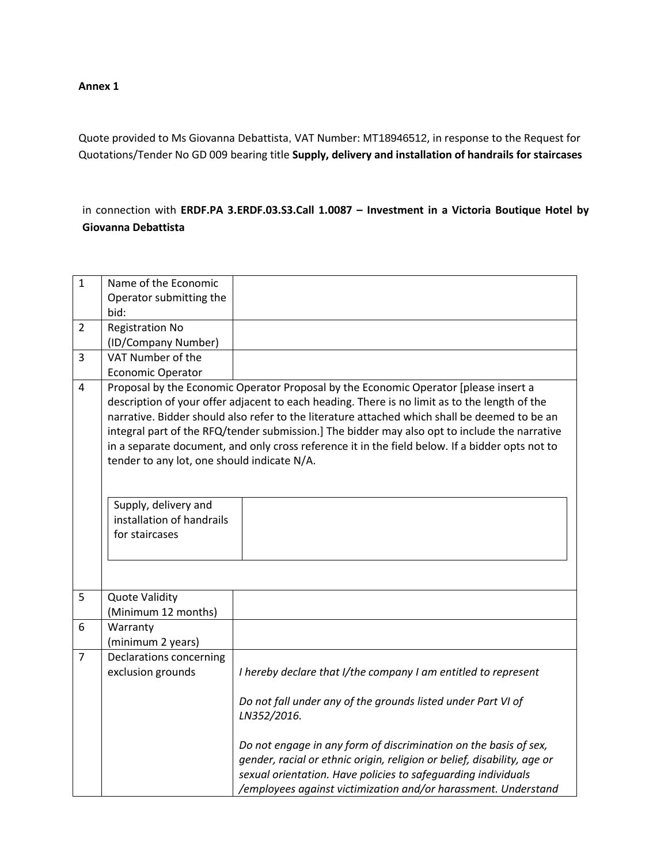#### **Annex 1**

Quote provided to Ms Giovanna Debattista, VAT Number: MT18946512, in response to the Request for Quotations/Tender No GD 009 bearing title **Supply, delivery and installation of handrails for staircases**

in connection with **ERDF.PA 3.ERDF.03.S3.Call 1.0087 – Investment in a Victoria Boutique Hotel by Giovanna Debattista**

| $\mathbf 1$    | Name of the Economic                                                                                               |                                                                                                                                                                                                                                                                                                                                                                                                                                                                                            |
|----------------|--------------------------------------------------------------------------------------------------------------------|--------------------------------------------------------------------------------------------------------------------------------------------------------------------------------------------------------------------------------------------------------------------------------------------------------------------------------------------------------------------------------------------------------------------------------------------------------------------------------------------|
|                | Operator submitting the                                                                                            |                                                                                                                                                                                                                                                                                                                                                                                                                                                                                            |
|                | bid:                                                                                                               |                                                                                                                                                                                                                                                                                                                                                                                                                                                                                            |
| $\overline{2}$ | <b>Registration No</b>                                                                                             |                                                                                                                                                                                                                                                                                                                                                                                                                                                                                            |
|                | (ID/Company Number)                                                                                                |                                                                                                                                                                                                                                                                                                                                                                                                                                                                                            |
| 3              | VAT Number of the                                                                                                  |                                                                                                                                                                                                                                                                                                                                                                                                                                                                                            |
|                | <b>Economic Operator</b>                                                                                           |                                                                                                                                                                                                                                                                                                                                                                                                                                                                                            |
| 4              | tender to any lot, one should indicate N/A.<br>Supply, delivery and<br>installation of handrails<br>for staircases | Proposal by the Economic Operator Proposal by the Economic Operator [please insert a<br>description of your offer adjacent to each heading. There is no limit as to the length of the<br>narrative. Bidder should also refer to the literature attached which shall be deemed to be an<br>integral part of the RFQ/tender submission.] The bidder may also opt to include the narrative<br>in a separate document, and only cross reference it in the field below. If a bidder opts not to |
| 5              | <b>Quote Validity</b>                                                                                              |                                                                                                                                                                                                                                                                                                                                                                                                                                                                                            |
|                | (Minimum 12 months)                                                                                                |                                                                                                                                                                                                                                                                                                                                                                                                                                                                                            |
| 6              | Warranty                                                                                                           |                                                                                                                                                                                                                                                                                                                                                                                                                                                                                            |
|                | (minimum 2 years)                                                                                                  |                                                                                                                                                                                                                                                                                                                                                                                                                                                                                            |
| $\overline{7}$ | Declarations concerning<br>exclusion grounds                                                                       | I hereby declare that I/the company I am entitled to represent                                                                                                                                                                                                                                                                                                                                                                                                                             |
|                |                                                                                                                    | Do not fall under any of the grounds listed under Part VI of<br>LN352/2016.                                                                                                                                                                                                                                                                                                                                                                                                                |
|                |                                                                                                                    | Do not engage in any form of discrimination on the basis of sex,<br>gender, racial or ethnic origin, religion or belief, disability, age or<br>sexual orientation. Have policies to safeguarding individuals<br>/employees against victimization and/or harassment. Understand                                                                                                                                                                                                             |